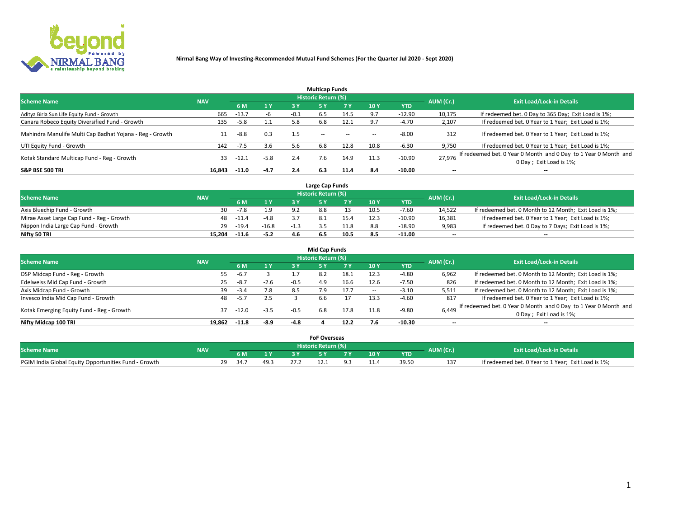

|                                                          |            |         |         |        | <b>Multicap Funds</b> |           |      |            |                          |                                                                                             |
|----------------------------------------------------------|------------|---------|---------|--------|-----------------------|-----------|------|------------|--------------------------|---------------------------------------------------------------------------------------------|
| <b>Scheme Name</b>                                       | <b>NAV</b> |         |         |        | Historic Return (%)   |           |      |            | AUM (Cr.)                | <b>Exit Load/Lock-in Details</b>                                                            |
|                                                          |            | 6 M     | 1 Y     | 3 Y    |                       | <b>7Y</b> | 10Y  | <b>YTD</b> |                          |                                                                                             |
| Aditya Birla Sun Life Equity Fund - Growth               | 665        | $-13.7$ | -b      | $-0.1$ | 6.5                   | 14.5      | 9.7  | $-12.90$   | 10,175                   | If redeemed bet. 0 Day to 365 Day; Exit Load is 1%;                                         |
| Canara Robeco Equity Diversified Fund - Growth           | 135        | $-5.8$  | $1.1\,$ | 5.8    | 6.8                   | 12.1      | 9.7  | $-4.70$    | 2,107                    | If redeemed bet. 0 Year to 1 Year; Exit Load is 1%;                                         |
| Mahindra Manulife Multi Cap Badhat Yojana - Reg - Growth |            | -8.8    | 0.3     | 1.5    | $\sim$ $-$            | $\sim$    | --   | $-8.00$    | 312                      | If redeemed bet. 0 Year to 1 Year; Exit Load is 1%;                                         |
| UTI Equity Fund - Growth                                 | 142        | -7.5    | 3.6     | 5.6    | 6.8                   | 12.8      | 10.8 | $-6.30$    | 9,750                    | If redeemed bet. 0 Year to 1 Year; Exit Load is 1%;                                         |
| Kotak Standard Multicap Fund - Reg - Growth              | 33         | $-12.1$ | $-5.8$  | 2.4    | 7.6                   | 14.9      | 11.3 | $-10.90$   | 27.976                   | If redeemed bet. 0 Year 0 Month and 0 Day to 1 Year 0 Month and<br>0 Day ; Exit Load is 1%; |
| <b>S&amp;P BSE 500 TRI</b>                               | 16.843     | $-11.0$ | $-4.7$  | 2.4    | 6.3                   | 11.4      | 8.4  | -10.00     | $\overline{\phantom{a}}$ | $- -$                                                                                       |

|                                           |            |         |         |                | Large Cap Funds     |      |      |            |                          |                                                        |
|-------------------------------------------|------------|---------|---------|----------------|---------------------|------|------|------------|--------------------------|--------------------------------------------------------|
| <b>Scheme Name</b>                        | <b>NAV</b> |         |         |                | Historic Return (%) |      |      |            | AUM (Cr.)                | <b>Exit Load/Lock-in Details</b>                       |
|                                           |            |         | 1 Y     |                |                     |      | 10 Y | <b>YTD</b> |                          |                                                        |
| Axis Bluechip Fund - Growth               | 30         | $-7.8$  | 1.9     | Q <sub>0</sub> |                     |      | 10.5 | $-7.60$    | 14,522                   | If redeemed bet. 0 Month to 12 Month; Exit Load is 1%; |
| Mirae Asset Large Cap Fund - Reg - Growth | 48.        | $-11.7$ | $-4.8$  |                |                     |      |      | $-10.90$   | 16,381                   | If redeemed bet. 0 Year to 1 Year; Exit Load is 1%;    |
| Nippon India Large Cap Fund - Growth      | 29         | $-19.4$ | $-16.8$ |                |                     | '1.8 |      | $-18.90$   | 9,983                    | If redeemed bet. 0 Day to 7 Days; Exit Load is 1%;     |
| Nifty 50 TRI                              | 15.204     | $-11.6$ | $-5.2$  |                |                     | 10.5 |      | $-11.00$   | $\overline{\phantom{a}}$ | $- -$                                                  |

|                                           |            |         |                |        | <b>Mid Cap Funds</b> |      |        |            |           |                                                                 |
|-------------------------------------------|------------|---------|----------------|--------|----------------------|------|--------|------------|-----------|-----------------------------------------------------------------|
| <b>Scheme Name</b>                        | <b>NAV</b> |         |                |        | Historic Return (%)  |      |        |            | AUM (Cr.) | <b>Exit Load/Lock-in Details</b>                                |
|                                           |            | 6 M     | 1 <sup>Y</sup> | 3 Y    | 5۱                   |      | 10Y    | <b>YTD</b> |           |                                                                 |
| DSP Midcap Fund - Reg - Growth            | 55         | $-6.7$  |                |        | 8.2                  | 18.1 | 12.3   | $-4.80$    | 6,962     | If redeemed bet. 0 Month to 12 Month; Exit Load is 1%;          |
| Edelweiss Mid Cap Fund - Growth           | 25         | $-8.7$  | $-2.6$         | $-0.5$ | 4.9                  | 16.6 | 12.6   | $-7.50$    | 826       | If redeemed bet. 0 Month to 12 Month; Exit Load is 1%;          |
| Axis Midcap Fund - Growth                 | 39         | -3.4    | 7.8            | 8.5    | 7.9                  | 17.7 | $\sim$ | $-3.10$    | 5,511     | If redeemed bet. 0 Month to 12 Month; Exit Load is 1%;          |
| Invesco India Mid Cap Fund - Growth       | 48         | $-5.7$  | 2.5            |        | b.b                  |      | 13.3   | $-4.60$    | 817       | If redeemed bet. 0 Year to 1 Year; Exit Load is 1%;             |
| Kotak Emerging Equity Fund - Reg - Growth | 37         | -12.0   | $-3.5$         | $-0.5$ | 6.8                  | 17.8 | 11.8   | $-9.80$    | 6,449     | If redeemed bet. 0 Year 0 Month and 0 Day to 1 Year 0 Month and |
|                                           |            |         |                |        |                      |      |        |            |           | 0 Day; Exit Load is 1%;                                         |
| Nifty Midcap 100 TRI                      | 19.862     | $-11.8$ | $-8.9$         | $-4.8$ |                      | 12.2 | 7.6    | $-10.30$   | $- -$     | $- -$                                                           |

|                                                      |            |           |              | <b>FoF Overseas</b>   |   |      |            |           |                                                     |
|------------------------------------------------------|------------|-----------|--------------|-----------------------|---|------|------------|-----------|-----------------------------------------------------|
| <b>Scheme Name</b>                                   | <b>NAV</b> |           |              | Historic Return (%) ' |   |      |            | AUM (Cr.) | <b>Exit Load/Lock-in Details</b>                    |
|                                                      |            |           | $\mathbf{v}$ |                       | - | 10 Y | <b>YTD</b> |           |                                                     |
| PGIM India Global Equity Opportunities Fund - Growth |            | ٦Q<br>34. | ڌ.49         |                       |   |      | 39.5       | 13.<br>⊥⊃ | If redeemed bet. 0 Year to 1 Year; Exit Load is 1%; |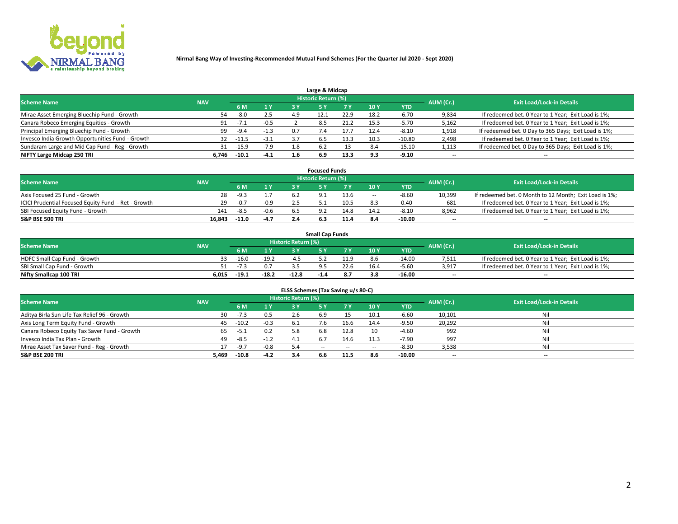

| Large & Midcap                                   |            |         |        |     |                     |      |      |            |                          |                                                      |  |  |  |  |
|--------------------------------------------------|------------|---------|--------|-----|---------------------|------|------|------------|--------------------------|------------------------------------------------------|--|--|--|--|
| <b>Scheme Name</b>                               | <b>NAV</b> |         |        |     | Historic Return (%) |      |      |            | AUM (Cr.)                | <b>Exit Load/Lock-in Details</b>                     |  |  |  |  |
|                                                  |            | 6 M     | 1 Y    | 3 Y |                     | 7 V  | 10Y  | <b>YTD</b> |                          |                                                      |  |  |  |  |
| Mirae Asset Emerging Bluechip Fund - Growth      | 54         | $-8.0$  | 2.5    | 4.9 |                     | 22.9 | 18.  | -6.70      | 9,834                    | If redeemed bet. 0 Year to 1 Year; Exit Load is 1%;  |  |  |  |  |
| Canara Robeco Emerging Equities - Growth         | 91         |         | $-0.5$ |     | 8.5                 | 21.2 | 15.3 | $-5.70$    | 5,162                    | If redeemed bet. 0 Year to 1 Year; Exit Load is 1%;  |  |  |  |  |
| Principal Emerging Bluechip Fund - Growth        | 99         | $-9.4$  | $-1.3$ | 0.7 | 7.4                 | 17.7 | 12.4 | $-8.10$    | 1,918                    | If redeemed bet. 0 Day to 365 Days; Exit Load is 1%; |  |  |  |  |
| Invesco India Growth Opportunities Fund - Growth | 32         | $-11.5$ | $-3.1$ | 37  | 6.5                 | 13.3 | 10.3 | $-10.80$   | 2,498                    | If redeemed bet. 0 Year to 1 Year; Exit Load is 1%;  |  |  |  |  |
| Sundaram Large and Mid Cap Fund - Reg - Growth   | 31         | $-15.9$ | $-7.9$ | 1.8 | 6.2                 |      | 8.4  | $-15.10$   | 1,113                    | If redeemed bet. 0 Day to 365 Days; Exit Load is 1%; |  |  |  |  |
| NIFTY Large Midcap 250 TRI                       | 6.746      | $-10.1$ | $-4.1$ |     | 6.9                 | 13.3 | 93   | $-9.10$    | $\overline{\phantom{a}}$ | $- -$                                                |  |  |  |  |

|                                                     |            |         |        | <b>Focused Funds</b>       |      |                          |            |                          |                                                        |
|-----------------------------------------------------|------------|---------|--------|----------------------------|------|--------------------------|------------|--------------------------|--------------------------------------------------------|
| <b>Scheme Name</b>                                  | <b>NAV</b> |         |        | <b>Historic Return (%)</b> |      |                          |            | AUM (Cr.)                | <b>Exit Load/Lock-in Details</b>                       |
|                                                     |            | 6 M     | 1 Y    |                            | 7 V  | 10 Y                     | <b>YTD</b> |                          |                                                        |
| Axis Focused 25 Fund - Growth                       | 28         | $-9.3$  |        |                            | 13.6 | $\overline{\phantom{a}}$ | $-8.60$    | 10.399                   | If redeemed bet. 0 Month to 12 Month; Exit Load is 1%; |
| ICICI Prudential Focused Equity Fund - Ret - Growth | 29         | $-0.7$  | $-0.9$ |                            | 10.5 |                          | 0.40       | 681                      | If redeemed bet. 0 Year to 1 Year; Exit Load is 1%;    |
| SBI Focused Equity Fund - Growth                    | 141        | $-8.5$  | $-0.6$ |                            | 14.8 | 14.2                     | $-8.10$    | 8,962                    | If redeemed bet. 0 Year to 1 Year; Exit Load is 1%;    |
| S&P BSE 500 TRI                                     | 16.843     | $-11.0$ | $-4.7$ |                            |      |                          | -10.00     | $\overline{\phantom{a}}$ | $\hspace{0.05cm} \cdots$                               |

|                              |            |         |         |                     | <b>Small Cap Funds</b> |      |                 |            |           |                                                     |
|------------------------------|------------|---------|---------|---------------------|------------------------|------|-----------------|------------|-----------|-----------------------------------------------------|
| <b>Scheme Name</b>           | <b>NAV</b> |         |         | Historic Return (%) |                        |      |                 |            | AUM (Cr.) | <b>Exit Load/Lock-in Details</b>                    |
|                              |            | 6 M     | 1 Y     |                     |                        |      | 10 <sub>Y</sub> | <b>YTD</b> |           |                                                     |
| HDFC Small Cap Fund - Growth |            | $-16.0$ | $-19.2$ | -4 '                |                        | 11 Q | 8.6             | $-14.00$   | 7,511     | If redeemed bet. 0 Year to 1 Year; Exit Load is 1%; |
| SBI Small Cap Fund - Growth  | 51.        | $-1.7$  |         |                     |                        | 22.6 | 16.4            | $-5.60$    | 3,917     | If redeemed bet. 0 Year to 1 Year; Exit Load is 1%; |
| Nifty Smallcap 100 TRI       | 6.015      | $-19.1$ | $-18.2$ | $-12.8$             | -1.4                   | 8.7  |                 | $-16.00$   | $-$       | $- -$                                               |

| ELSS Schemes (Tax Saving u/s 80-C)           |            |         |        |                            |            |        |                          |            |                          |                                  |  |  |  |
|----------------------------------------------|------------|---------|--------|----------------------------|------------|--------|--------------------------|------------|--------------------------|----------------------------------|--|--|--|
| <b>Scheme Name</b>                           | <b>NAV</b> |         |        | <b>Historic Return (%)</b> |            |        |                          |            | AUM (Cr.)                | <b>Exit Load/Lock-in Details</b> |  |  |  |
|                                              |            | - 6 M   | 1Y     | 73 Y                       | <b>5Y</b>  | 7 Y    | 10 Y                     | <b>YTD</b> |                          |                                  |  |  |  |
| Aditya Birla Sun Life Tax Relief 96 - Growth | 30         | $-7.3$  | 0.5    |                            |            |        | 10.1                     | $-6.60$    | 10,101                   | Nil                              |  |  |  |
| Axis Long Term Equity Fund - Growth          | 45         | $-10.2$ | $-0.3$ | -6.1                       | 7.6        | 16.6   | 14.4                     | $-9.50$    | 20,292                   | Nil                              |  |  |  |
| Canara Robeco Equity Tax Saver Fund - Growth | 65         | $-5.1$  | 0.2    | 5.8                        | 6.8        | 12.8   | 10                       | $-4.60$    | 992                      | Nil                              |  |  |  |
| Invesco India Tax Plan - Growth              | 49         | $-8.5$  | $-1.2$ | -4.1                       |            | 14.6   | 11.3                     | $-7.90$    | 997                      | Nil                              |  |  |  |
| Mirae Asset Tax Saver Fund - Reg - Growth    |            | $-9.7$  | $-0.8$ | 5. 4                       | $\sim$ $-$ | $\sim$ | $\overline{\phantom{a}}$ | $-8.30$    | 3,538                    | Nil                              |  |  |  |
| S&P BSE 200 TRI                              | 5,469      | $-10.8$ | $-4.2$ |                            | 6.6        | 11.5   | 8.6                      | $-10.00$   | $\overline{\phantom{a}}$ | $- -$                            |  |  |  |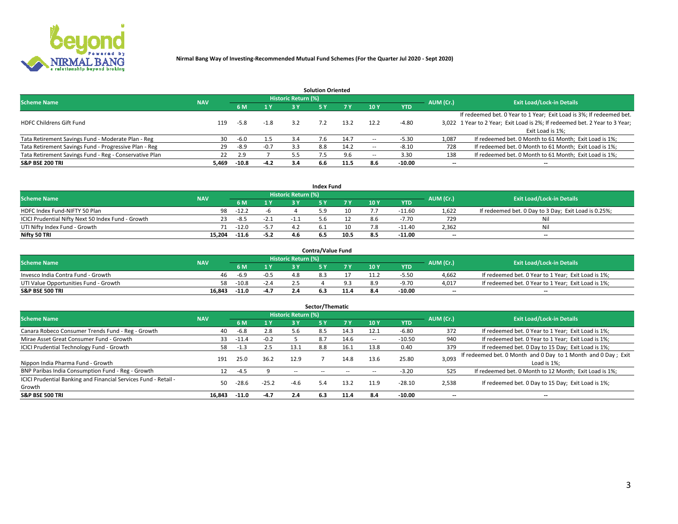

| <b>Solution Oriented</b>                               |            |            |        |                            |     |      |                          |            |                          |                                                                             |  |  |  |  |
|--------------------------------------------------------|------------|------------|--------|----------------------------|-----|------|--------------------------|------------|--------------------------|-----------------------------------------------------------------------------|--|--|--|--|
| <b>Scheme Name</b>                                     | <b>NAV</b> |            |        | <b>Historic Return (%)</b> |     |      |                          |            | AUM (Cr.)                | <b>Exit Load/Lock-in Details</b>                                            |  |  |  |  |
|                                                        |            | <b>6 M</b> | 1 Y    | 73 V                       |     |      | 10Y                      | <b>YTD</b> |                          |                                                                             |  |  |  |  |
|                                                        |            |            |        |                            |     |      |                          |            |                          | If redeemed bet. 0 Year to 1 Year; Exit Load is 3%; If redeemed bet.        |  |  |  |  |
| <b>HDFC Childrens Gift Fund</b>                        | 119        | $-5.8$     | $-1.8$ | 3.2                        |     | 13.2 | 12.2                     | $-4.80$    |                          | 3,022 1 Year to 2 Year; Exit Load is 2%; If redeemed bet. 2 Year to 3 Year; |  |  |  |  |
|                                                        |            |            |        |                            |     |      |                          |            |                          | Exit Load is 1%:                                                            |  |  |  |  |
| Tata Retirement Savings Fund - Moderate Plan - Reg     | 30         | $-6.0$     | 1.5    | 3.4                        | 7.6 | 14.7 |                          | $-5.30$    | 1,087                    | If redeemed bet. 0 Month to 61 Month; Exit Load is 1%;                      |  |  |  |  |
| Tata Retirement Savings Fund - Progressive Plan - Reg  | 29         | $-8.9$     | $-0.7$ | 3.3                        | 8.8 | 14.2 | $\overline{\phantom{a}}$ | $-8.10$    | 728                      | If redeemed bet. 0 Month to 61 Month; Exit Load is 1%;                      |  |  |  |  |
| Tata Retirement Savings Fund - Reg - Conservative Plan | 22         | 2.9        |        | 5.5                        |     | 9.6  | -                        | 3.30       | 138                      | If redeemed bet. 0 Month to 61 Month; Exit Load is 1%;                      |  |  |  |  |
| S&P BSE 200 TRI                                        | 5,469      | $-10.8$    | $-4.2$ | 3.4                        | 6.6 | 11.5 | 8.6                      | $-10.00$   | $\overline{\phantom{a}}$ | $- -$                                                                       |  |  |  |  |

|                                                    |            |          |              |                            | <b>Index Fund</b> |      |      |            |                          |                                                      |
|----------------------------------------------------|------------|----------|--------------|----------------------------|-------------------|------|------|------------|--------------------------|------------------------------------------------------|
| <b>Scheme Name</b>                                 | <b>NAV</b> |          |              | <b>Historic Return (%)</b> |                   |      |      |            | AUM (Cr.)                | <b>Exit Load/Lock-in Details</b>                     |
|                                                    |            | 6 M      | $\sqrt{1}$ Y | 2 V                        |                   |      | 10 Y | <b>YTD</b> |                          |                                                      |
| HDFC Index Fund-NIFTY 50 Plan                      | 98         | $-12.2$  |              |                            |                   |      |      | $-11.60$   | 1,622                    | If redeemed bet. 0 Day to 3 Day; Exit Load is 0.25%; |
| ICICI Prudential Nifty Next 50 Index Fund - Growth |            | $-8.5$   | $-2.1$       |                            |                   |      |      | $-7.70$    | 729                      | Nil                                                  |
| UTI Nifty Index Fund - Growth                      |            | 71 -12.0 | $-5.7$       |                            |                   |      |      | $-11.40$   | 2,362                    | Nil                                                  |
| Nifty 50 TRI                                       | 15.204     | $-11.6$  | $-5.2$       |                            | 6.5               | 10.5 | 8.5  | $-11.00$   | $\overline{\phantom{a}}$ | $- -$                                                |

|                                       |            |         |                                   |                            | <b>Contra/Value Fund</b> |     |     |            |                          |                                                     |
|---------------------------------------|------------|---------|-----------------------------------|----------------------------|--------------------------|-----|-----|------------|--------------------------|-----------------------------------------------------|
| <b>Scheme Name</b>                    | <b>NAV</b> |         |                                   | <b>Historic Return (%)</b> |                          |     |     |            | AUM (Cr.)                | <b>Exit Load/Lock-in Details</b>                    |
|                                       |            |         | $\boldsymbol{A}$ $\boldsymbol{V}$ |                            |                          | 7 V | 10Y | <b>YTD</b> |                          |                                                     |
| Invesco India Contra Fund - Growth    | 46         | $-6.9$  | $-0.5$                            |                            |                          |     |     | -5.50      | 4,662                    | If redeemed bet. 0 Year to 1 Year; Exit Load is 1%; |
| UTI Value Opportunities Fund - Growth | 58         | $-10.8$ | -2.4                              |                            |                          |     |     | -9.70      | 4,017                    | If redeemed bet. 0 Year to 1 Year; Exit Load is 1%; |
| <b>S&amp;P BSE 500 TRI</b>            | 16.843     | $-11.0$ | -4.7                              |                            |                          |     |     | -10.00     | $\overline{\phantom{a}}$ | $- -$                                               |

| Sector/Thematic                                                           |            |         |         |                            |            |           |      |            |                          |                                                                              |  |  |  |
|---------------------------------------------------------------------------|------------|---------|---------|----------------------------|------------|-----------|------|------------|--------------------------|------------------------------------------------------------------------------|--|--|--|
| <b>Scheme Name</b>                                                        | <b>NAV</b> |         |         | <b>Historic Return (%)</b> |            |           |      |            | AUM (Cr.)                | <b>Exit Load/Lock-in Details</b>                                             |  |  |  |
|                                                                           |            | 6 M     | 1 Y     | 3 Y                        | 5 Y        | <b>7Y</b> | 10Y  | <b>YTD</b> |                          |                                                                              |  |  |  |
| Canara Robeco Consumer Trends Fund - Reg - Growth                         | 40         | -6.8    | 2.8     | 5.6                        | 8.5        | 14.3      | 12.1 | $-6.80$    | 372                      | If redeemed bet. 0 Year to 1 Year; Exit Load is 1%;                          |  |  |  |
| Mirae Asset Great Consumer Fund - Growth                                  | 33         | $-11.4$ | $-0.2$  |                            | 8.7        | 14.6      | --   | $-10.50$   | 940                      | If redeemed bet. 0 Year to 1 Year; Exit Load is 1%;                          |  |  |  |
| <b>ICICI Prudential Technology Fund - Growth</b>                          | 58         | $-1.3$  | 2.5     | 13.1                       | 8.8        | 16.1      | 13.8 | 0.40       | 379                      | If redeemed bet. 0 Day to 15 Day; Exit Load is 1%;                           |  |  |  |
| Nippon India Pharma Fund - Growth                                         | 191        | 25.0    | 36.2    | 12.9                       |            | 14.8      | 13.6 | 25.80      | 3,093                    | If redeemed bet. 0 Month and 0 Day to 1 Month and 0 Day; Exit<br>Load is 1%: |  |  |  |
| BNP Paribas India Consumption Fund - Reg - Growth                         | 12         | $-4.5$  |         | $\sim$ $-$                 | $\sim$ $-$ | $-$       | --   | $-3.20$    | 525                      | If redeemed bet. 0 Month to 12 Month; Exit Load is 1%;                       |  |  |  |
| ICICI Prudential Banking and Financial Services Fund - Retail -<br>Growth | 50         | $-28.6$ | $-25.2$ | $-4.6$                     | 5.4        | 13.2      | 11.9 | $-28.10$   | 2,538                    | If redeemed bet. 0 Day to 15 Day; Exit Load is 1%;                           |  |  |  |
| <b>S&amp;P BSE 500 TRI</b>                                                | 16.843     | $-11.0$ | $-4.7$  | 2.4                        | 6.3        | 11.4      | 8.4  | $-10.00$   | $\overline{\phantom{a}}$ | $- -$                                                                        |  |  |  |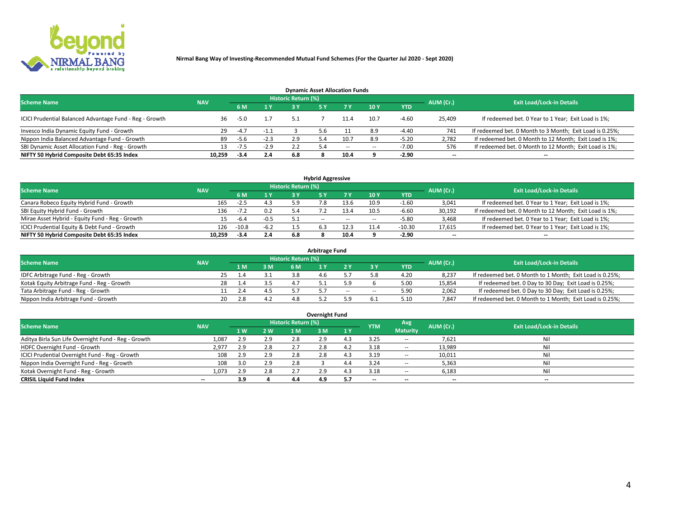

| <b>Dynamic Asset Allocation Funds</b>                   |                                                                |        |        |     |     |        |                          |            |                          |                                                          |  |  |  |  |  |
|---------------------------------------------------------|----------------------------------------------------------------|--------|--------|-----|-----|--------|--------------------------|------------|--------------------------|----------------------------------------------------------|--|--|--|--|--|
|                                                         | <b>Historic Return (%)</b><br><b>Scheme Name</b><br><b>NAV</b> |        |        |     |     |        |                          |            |                          |                                                          |  |  |  |  |  |
|                                                         |                                                                | 6 M    | 1 Y    |     |     |        | <b>10Y</b>               | <b>YTD</b> | AUM (Cr.)                | <b>Exit Load/Lock-in Details</b>                         |  |  |  |  |  |
| ICICI Prudential Balanced Advantage Fund - Reg - Growth | 36                                                             | $-5.0$ |        | 5.1 |     | 11.4   | 10.7                     | $-4.60$    | 25,409                   | If redeemed bet. 0 Year to 1 Year; Exit Load is 1%;      |  |  |  |  |  |
| Invesco India Dynamic Equity Fund - Growth              | 29                                                             | $-4.7$ | $-1.1$ |     | 5.6 |        | 8.9                      | $-4.40$    | 741                      | If redeemed bet. 0 Month to 3 Month; Exit Load is 0.25%; |  |  |  |  |  |
| Nippon India Balanced Advantage Fund - Growth           | 89                                                             | -5.6   | $-2.3$ | 2.9 | 4.د |        | 8.9                      | $-5.20$    | 2,782                    | If redeemed bet. 0 Month to 12 Month; Exit Load is 1%;   |  |  |  |  |  |
| SBI Dynamic Asset Allocation Fund - Reg - Growth        | 13.                                                            | $-7.5$ | $-2.9$ |     |     | $\sim$ | $\overline{\phantom{a}}$ | $-7.00$    | 576                      | If redeemed bet. 0 Month to 12 Month; Exit Load is 1%;   |  |  |  |  |  |
| NIFTY 50 Hybrid Composite Debt 65:35 Index              | 10,259                                                         | $-3.4$ | 2.4    | 6.8 |     | 10.4   |                          | $-2.90$    | $\overline{\phantom{a}}$ |                                                          |  |  |  |  |  |

| <b>Hybrid Aggressive</b>                        |                                                                |         |        |     |               |        |      |            |                          |                                                        |  |  |  |  |  |
|-------------------------------------------------|----------------------------------------------------------------|---------|--------|-----|---------------|--------|------|------------|--------------------------|--------------------------------------------------------|--|--|--|--|--|
|                                                 | <b>Historic Return (%)</b><br><b>Scheme Name</b><br><b>NAV</b> |         |        |     |               |        |      |            |                          |                                                        |  |  |  |  |  |
|                                                 |                                                                | 6 M     | 1 Y    |     |               | 7 V    | 10Y  | <b>YTD</b> | AUM (Cr.)                | <b>Exit Load/Lock-in Details</b>                       |  |  |  |  |  |
| Canara Robeco Equity Hybrid Fund - Growth       | 165                                                            | -2.5    | 4.3    | 5.9 |               |        | 10.9 | -1.60      | 3,041                    | If redeemed bet. 0 Year to 1 Year; Exit Load is 1%;    |  |  |  |  |  |
| SBI Equity Hybrid Fund - Growth                 | 136                                                            | $-7.2$  | 0.2    |     |               | 13.4   | 10.5 | $-6.60$    | 30,192                   | If redeemed bet. 0 Month to 12 Month; Exit Load is 1%; |  |  |  |  |  |
| Mirae Asset Hybrid - Equity Fund - Reg - Growth |                                                                | -6.4    | $-0.5$ |     | $\sim$ $\sim$ | $\sim$ | --   | -5.80      | 3,468                    | If redeemed bet. 0 Year to 1 Year; Exit Load is 1%;    |  |  |  |  |  |
| ICICI Prudential Equity & Debt Fund - Growth    | 126                                                            | $-10.8$ | $-6.2$ |     |               | 12.3   | 11.4 | $-10.30$   | 17,615                   | If redeemed bet. 0 Year to 1 Year; Exit Load is 1%;    |  |  |  |  |  |
| NIFTY 50 Hybrid Composite Debt 65:35 Index      | 10.259                                                         | -3.4    | 2.4    | 6.8 |               | 10.4   |      | $-2.90$    | $\overline{\phantom{a}}$ | $- -$                                                  |  |  |  |  |  |

| <b>Arbitrage Fund</b>                      |            |    |     |     |                     |  |        |        |      |           |                                                          |  |  |  |
|--------------------------------------------|------------|----|-----|-----|---------------------|--|--------|--------|------|-----------|----------------------------------------------------------|--|--|--|
| <b>Scheme Name</b>                         | <b>NAV</b> |    |     |     | Historic Return (%) |  |        |        |      | AUM (Cr.) | <b>Exit Load/Lock-in Details</b>                         |  |  |  |
|                                            |            |    | 1 M | 3 M |                     |  |        |        | YTD  |           |                                                          |  |  |  |
| IDFC Arbitrage Fund - Reg - Growth         |            |    |     |     | 3.8                 |  |        |        | 4.20 | 8,237     | If redeemed bet. 0 Month to 1 Month; Exit Load is 0.25%; |  |  |  |
| Kotak Equity Arbitrage Fund - Reg - Growth |            | 28 |     |     |                     |  |        |        | 5.00 | 15,854    | If redeemed bet. 0 Day to 30 Day; Exit Load is 0.25%;    |  |  |  |
| Tata Arbitrage Fund - Reg - Growth         |            |    |     |     |                     |  | $\sim$ | $\sim$ | 5.90 | 2,062     | If redeemed bet. 0 Day to 30 Day; Exit Load is 0.25%;    |  |  |  |
| Nippon India Arbitrage Fund - Growth       |            | 20 | 2.8 |     | 4.8                 |  |        |        | 5.10 | 7,847     | If redeemed bet. 0 Month to 1 Month; Exit Load is 0.25%; |  |  |  |

| Overnight Fund                                      |            |     |     |                            |     |     |                          |                 |           |                                  |  |  |  |  |
|-----------------------------------------------------|------------|-----|-----|----------------------------|-----|-----|--------------------------|-----------------|-----------|----------------------------------|--|--|--|--|
| <b>Scheme Name</b>                                  | <b>NAV</b> |     |     | <b>Historic Return (%)</b> |     |     | <b>YTM</b>               | Avg             | AUM (Cr.) | <b>Exit Load/Lock-in Details</b> |  |  |  |  |
|                                                     |            | 1 W | 2 W | 1 M                        | 3 M | 1 Y |                          | <b>Maturity</b> |           |                                  |  |  |  |  |
| Aditya Birla Sun Life Overnight Fund - Reg - Growth | 1,087      | 2.9 | 2.9 | 2.8                        | 2.9 |     | 3.25                     | $\sim$ $-$      | 7,621     | Nil                              |  |  |  |  |
| HDFC Overnight Fund - Growth                        | 2,977      | 2.9 | 2.8 |                            | 2.8 |     | 3.18                     | $\sim$ $-$      | 13,989    | Nil                              |  |  |  |  |
| ICICI Prudential Overnight Fund - Reg - Growth      | 108        | 2.9 | 2.9 | 2.8                        | 2.8 |     | 3.19                     | $\sim$ $-$      | 10,011    | Nil                              |  |  |  |  |
| Nippon India Overnight Fund - Reg - Growth          | 108        |     | 2.9 | 2.8                        |     |     | 3.24                     | --              | 5,363     | Nil                              |  |  |  |  |
| Kotak Overnight Fund - Reg - Growth                 | 1,073      |     | 2.8 |                            | 2.9 |     | 3.18                     | $\sim$ $-$      | 6,183     | Nil                              |  |  |  |  |
| <b>CRISIL Liquid Fund Index</b>                     | $- -$      | 3.9 |     | 4.4                        | 4.9 | 5.7 | $\overline{\phantom{a}}$ | --              | $-$       | $- -$                            |  |  |  |  |

### **Overnight Fund**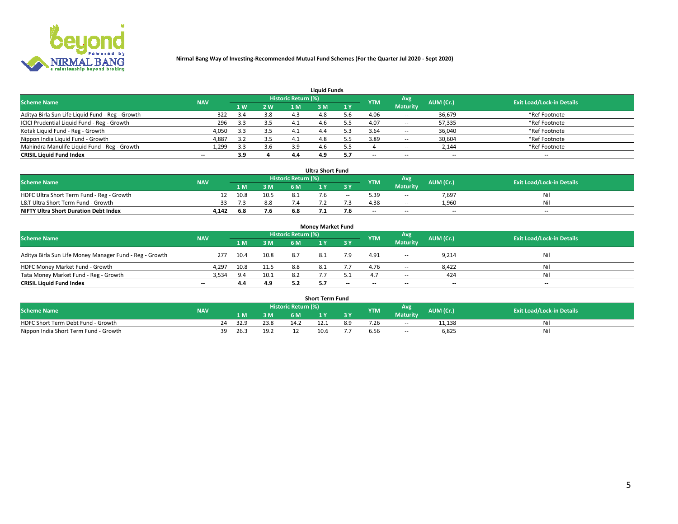

| <b>Liquid Funds</b>                              |            |                         |     |                            |     |     |            |                 |                          |                                  |  |  |  |  |
|--------------------------------------------------|------------|-------------------------|-----|----------------------------|-----|-----|------------|-----------------|--------------------------|----------------------------------|--|--|--|--|
| <b>Scheme Name</b>                               | <b>NAV</b> |                         |     | <b>Historic Return (%)</b> |     |     | <b>YTM</b> | <b>Avg</b>      | AUM (Cr.)                | <b>Exit Load/Lock-in Details</b> |  |  |  |  |
|                                                  |            | 1 W                     | 2 W | 1 M                        | : M | 1Y  |            | <b>Maturity</b> |                          |                                  |  |  |  |  |
| Aditya Birla Sun Life Liquid Fund - Reg - Growth | 322        |                         | 3.8 |                            |     | . հ | 4.06       | $\sim$ $-$      | 36,679                   | *Ref Footnote                    |  |  |  |  |
| ICICI Prudential Liquid Fund - Reg - Growth      | 296        | 3.3                     | 3.5 |                            | 4.O |     | 4.07       | $\sim$ $-$      | 57,335                   | *Ref Footnote                    |  |  |  |  |
| Kotak Liquid Fund - Reg - Growth                 | 4,050      | 3.3                     | 3.5 |                            |     |     | 3.64       | $\sim$ $-$      | 36,040                   | *Ref Footnote                    |  |  |  |  |
| Nippon India Liquid Fund - Growth                | 4,887      | $\overline{\mathbf{3}}$ | 3.5 | 4.1                        | 4.8 |     | 3.89       | $\sim$ $-$      | 30,604                   | *Ref Footnote                    |  |  |  |  |
| Mahindra Manulife Liquid Fund - Reg - Growth     | 1,299      | 3.3                     | 3.6 | 3.9                        | 4.O |     |            | $\sim$ $-$      | 2,144                    | *Ref Footnote                    |  |  |  |  |
| <b>CRISIL Liquid Fund Index</b>                  | $- -$      | 3.9                     |     | 4.4                        | 4.9 | 5.7 | $- -$      | $- -$           | $\overline{\phantom{a}}$ | $\hspace{0.05cm} \cdots$         |  |  |  |  |

| <b>Ultra Short Fund</b>                      |            |      |      |                            |  |        |            |                 |                          |                                  |  |  |  |  |
|----------------------------------------------|------------|------|------|----------------------------|--|--------|------------|-----------------|--------------------------|----------------------------------|--|--|--|--|
| <b>Scheme Name</b>                           | <b>NAV</b> |      |      | <b>Historic Return (%)</b> |  |        | <b>YTM</b> | Avg             | AUM (Cr.)                | <b>Exit Load/Lock-in Details</b> |  |  |  |  |
|                                              |            | 1 M. | 3 M  | 6 M                        |  |        |            | <b>Maturity</b> |                          |                                  |  |  |  |  |
| HDFC Ultra Short Term Fund - Reg - Growth    |            | 10.8 | 10.5 |                            |  | $\sim$ | 5.39       | $\sim$ $-$      | 7.697                    | Nil                              |  |  |  |  |
| L&T Ultra Short Term Fund - Growth           |            | 7.3  | 8.8  |                            |  |        | 4.38       | <b>COLUM</b>    | 1.960                    | Nil                              |  |  |  |  |
| <b>NIFTY Ultra Short Duration Debt Index</b> | 4,142      | 6.8  | 7.6  | 6.8                        |  |        | $- -$      | $- -$           | $\overline{\phantom{a}}$ | $-$                              |  |  |  |  |

| <b>Money Market Fund</b>                                |            |      |      |                     |     |       |                          |                 |                          |                                  |  |  |  |  |
|---------------------------------------------------------|------------|------|------|---------------------|-----|-------|--------------------------|-----------------|--------------------------|----------------------------------|--|--|--|--|
| <b>Scheme Name</b>                                      | <b>NAV</b> |      |      | Historic Return (%) |     |       | <b>YTM</b>               | Avg             | AUM (Cr.)                | <b>Exit Load/Lock-in Details</b> |  |  |  |  |
|                                                         |            | 1 M  | 3 M  | 6 M                 |     | 3 Y   |                          | <b>Maturity</b> |                          |                                  |  |  |  |  |
| Aditya Birla Sun Life Money Manager Fund - Reg - Growth | 277        | 10.4 | 10.8 | 8.7                 | 8.1 | 7.9   | 4.91                     | $\sim$ $-$      | 9,214                    | Nil                              |  |  |  |  |
| HDFC Money Market Fund - Growth                         | 4.297      | 10.8 | 11.5 | 8.8                 | 8.1 |       | 4.76                     | $\sim$ $\sim$   | 8,422                    | Nil                              |  |  |  |  |
| Tata Money Market Fund - Reg - Growth                   | 3,534      | 9.4  | 10.1 | 8.2                 |     |       |                          | $\sim$ $-$      | 424                      | Nil                              |  |  |  |  |
| <b>CRISIL Liquid Fund Index</b>                         | $- -$      | 4.4  | 4.9  |                     |     | $- -$ | $\overline{\phantom{a}}$ | $- -$           | $\overline{\phantom{a}}$ | $\overline{\phantom{a}}$         |  |  |  |  |

|                                       |            |      |      |                     | <b>Short Term Fund</b> |     |      |                 |           |                                  |
|---------------------------------------|------------|------|------|---------------------|------------------------|-----|------|-----------------|-----------|----------------------------------|
| <b>Scheme Name</b>                    | <b>NAV</b> |      |      | Historic Return (%) |                        |     | YTM  | Avg             | AUM (Cr.) | <b>Exit Load/Lock-in Details</b> |
|                                       |            | 1 M  | 3 M  | 6 M                 |                        | 2V  |      | <b>Maturity</b> |           |                                  |
| HDFC Short Term Debt Fund - Growth    | 24         | 32.9 | 23.8 | 14.2                | 12.1                   | 8.9 | 7.26 | $\sim$ $-$      | 11,138    | M                                |
| Nippon India Short Term Fund - Growth | 39         | 26.3 | 19.2 |                     | 10.6                   |     |      | $\sim$ $-$      | 6,825     | N                                |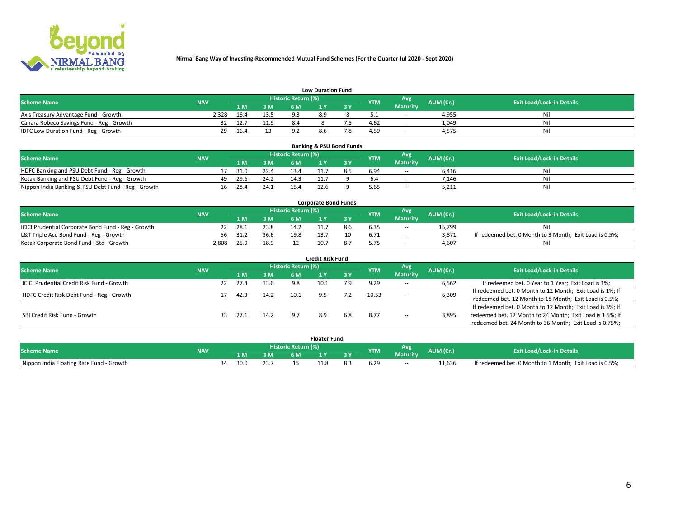

| <b>Low Duration Fund</b>                  |            |      |                 |                     |     |     |            |                 |           |                                  |  |  |  |  |
|-------------------------------------------|------------|------|-----------------|---------------------|-----|-----|------------|-----------------|-----------|----------------------------------|--|--|--|--|
| <b>Scheme Name</b>                        | <b>NAV</b> |      |                 | Historic Return (%) |     |     | <b>YTM</b> | Avg             | AUM (Cr.) | <b>Exit Load/Lock-in Details</b> |  |  |  |  |
|                                           |            | L M. | 3 M             | 6 M                 |     | 3 Y |            | <b>Maturity</b> |           |                                  |  |  |  |  |
| Axis Treasury Advantage Fund - Growth     | 2.328      | 16.4 | 13.5            | Q 3                 | 8.9 |     |            | $\sim$ $-$      | 4,955     | Nil                              |  |  |  |  |
| Canara Robeco Savings Fund - Reg - Growth |            | 12.7 | 11 <sub>0</sub> | 8.4                 |     |     | 4.62       | $- -$           | 1,049     | Nil                              |  |  |  |  |
| IDFC Low Duration Fund - Reg - Growth     | 29         | 16.4 |                 |                     | 8.6 |     | 4.59       | <b>COLUM</b>    | 4,575     | Nil                              |  |  |  |  |

| <b>Banking &amp; PSU Bond Funds</b>                                                                                           |  |    |      |      |      |      |  |      |                 |       |    |  |  |  |
|-------------------------------------------------------------------------------------------------------------------------------|--|----|------|------|------|------|--|------|-----------------|-------|----|--|--|--|
| Historic Return (%)<br>Avg<br><b>Exit Load/Lock-in Details</b><br>AUM (Cr.)<br><b>Scheme Name</b><br><b>NAV</b><br><b>YTM</b> |  |    |      |      |      |      |  |      |                 |       |    |  |  |  |
|                                                                                                                               |  |    | 1 M  | 3 M  | 6 M  |      |  |      | <b>Maturity</b> |       |    |  |  |  |
| HDFC Banking and PSU Debt Fund - Reg - Growth                                                                                 |  |    | 31.0 | 22.4 | 13.4 |      |  | 6.94 | $\sim$ $-$      | 6.416 | Ni |  |  |  |
| Kotak Banking and PSU Debt Fund - Reg - Growth                                                                                |  | 49 | 29.6 | 24.2 | 14.3 |      |  |      | $\sim$ $-$      | 7.146 | Ni |  |  |  |
| Nippon India Banking & PSU Debt Fund - Reg - Growth                                                                           |  | 16 | 28.4 | 24.1 | 15.4 | 12.6 |  | 5.65 | --              | 5.211 | Ni |  |  |  |

| <b>Corporate Bond Funds</b>                         |            |      |      |                            |     |     |            |                 |           |                                                         |  |  |  |  |
|-----------------------------------------------------|------------|------|------|----------------------------|-----|-----|------------|-----------------|-----------|---------------------------------------------------------|--|--|--|--|
| <b>Scheme Name</b>                                  | <b>NAV</b> |      |      | <b>Historic Return (%)</b> |     |     | <b>YTM</b> | Avg             | AUM (Cr.) | <b>Exit Load/Lock-in Details</b>                        |  |  |  |  |
|                                                     |            | 1 M  | 3 M  | 6 M                        |     | 3 Y |            | <b>Maturity</b> |           |                                                         |  |  |  |  |
| ICICI Prudential Corporate Bond Fund - Reg - Growth |            | 28.1 | 23.8 | 14.2                       |     | 8.h | 6.35       | --              | 15.799    |                                                         |  |  |  |  |
| L&T Triple Ace Bond Fund - Reg - Growth             | 56         | 31.2 | 36.6 | 19.8                       |     |     | 6.71       | $\sim$ $-$      | 3,871     | If redeemed bet. 0 Month to 3 Month; Exit Load is 0.5%; |  |  |  |  |
| Kotak Corporate Bond Fund - Std - Growth            | 2,808      | 25.9 | 18.9 |                            | 10. |     |            | $\sim$ $-$      | 4.607     | Nil                                                     |  |  |  |  |

| Credit Risk Fund                           |            |    |      |      |                     |      |     |            |                 |           |                                                           |  |
|--------------------------------------------|------------|----|------|------|---------------------|------|-----|------------|-----------------|-----------|-----------------------------------------------------------|--|
| <b>Scheme Name</b>                         | <b>NAV</b> |    |      |      | Historic Return (%) |      |     | <b>YTM</b> | Avg             | AUM (Cr.) | <b>Exit Load/Lock-in Details</b>                          |  |
|                                            |            |    | 1 M  | 3M   | 6 M                 |      | 3 Y |            | <b>Maturity</b> |           |                                                           |  |
| ICICI Prudential Credit Risk Fund - Growth |            | 22 | 27.4 | 13.6 | 9.8                 | 10.1 | 7.9 | 9.29       | $\sim$ $-$      | 6,562     | If redeemed bet. 0 Year to 1 Year; Exit Load is 1%;       |  |
| HDFC Credit Risk Debt Fund - Reg - Growth  |            |    | 42.3 | 14.2 | 10.1                |      | 7.2 | 10.53      |                 | 6,309     | If redeemed bet. 0 Month to 12 Month; Exit Load is 1%; If |  |
|                                            |            |    |      |      |                     |      |     |            | $\sim$ $-$      |           | redeemed bet. 12 Month to 18 Month; Exit Load is 0.5%;    |  |
|                                            |            |    |      |      |                     |      |     |            |                 |           | If redeemed bet. 0 Month to 12 Month; Exit Load is 3%; If |  |
| SBI Credit Risk Fund - Growth              |            | 33 | 27.1 | 14.2 |                     | 8.9  | 6.8 | 8.77       | $\sim$ $-$      | 3,895     | redeemed bet. 12 Month to 24 Month; Exit Load is 1.5%; If |  |
|                                            |            |    |      |      |                     |      |     |            |                 |           | redeemed bet. 24 Month to 36 Month; Exit Load is 0.75%;   |  |

| <b>Floater Fund</b>                      |            |                              |      |                              |     |   |   |            |                 |           |                                                         |  |
|------------------------------------------|------------|------------------------------|------|------------------------------|-----|---|---|------------|-----------------|-----------|---------------------------------------------------------|--|
| <b>Scheme Name</b>                       | <b>NAV</b> | <b>Historic Return (%)</b> ا |      |                              |     |   |   | <b>YTM</b> | Avg             | AUM (Cr.) | <b>Exit Load/Lock-in Details</b>                        |  |
|                                          |            |                              | 1 M  | ЗM                           | 6 M | . | . |            | <b>Maturity</b> |           |                                                         |  |
| Nippon India Floating Rate Fund - Growth |            | 34                           | 30.0 | $\sim$ $\sim$ $\sim$<br>43., |     |   |   |            | $\sim$          | 11.636    | If redeemed bet. 0 Month to 1 Month; Exit Load is 0.5%; |  |